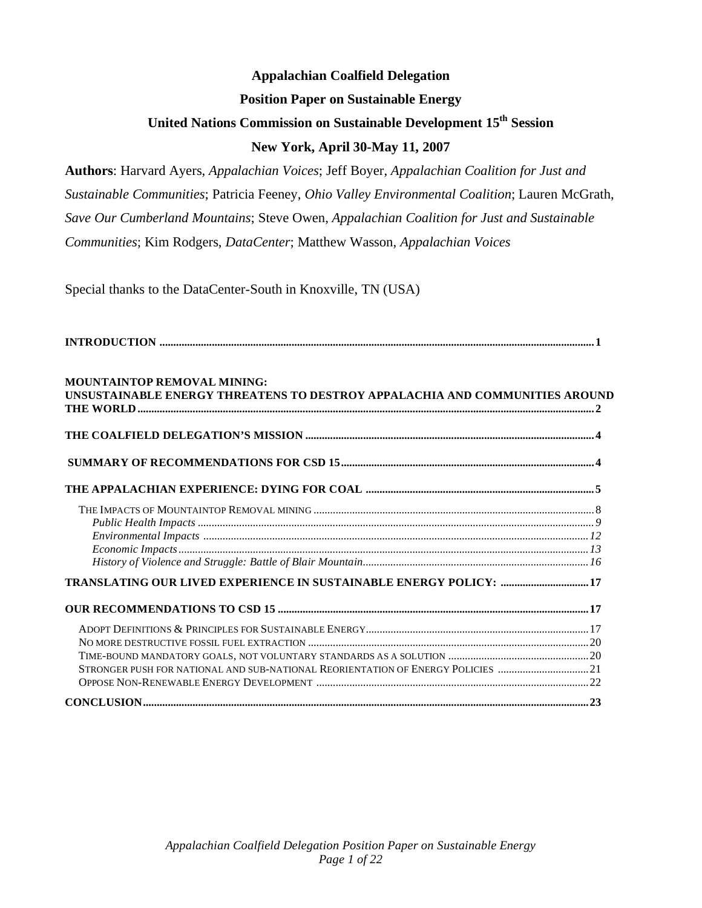### **Appalachian Coalfield Delegation Position Paper on Sustainable Energy United Nations Commission on Sustainable Development 15th Session New York, April 30-May 11, 2007**

**Authors**: Harvard Ayers, *Appalachian Voices*; Jeff Boyer, *Appalachian Coalition for Just and Sustainable Communities*; Patricia Feeney, *Ohio Valley Environmental Coalition*; Lauren McGrath, *Save Our Cumberland Mountains*; Steve Owen, *Appalachian Coalition for Just and Sustainable Communities*; Kim Rodgers, *DataCenter*; Matthew Wasson, *Appalachian Voices*

Special thanks to the DataCenter-South in Knoxville, TN (USA)

| <b>MOUNTAINTOP REMOVAL MINING:</b><br>UNSUSTAINABLE ENERGY THREATENS TO DESTROY APPALACHIA AND COMMUNITIES AROUND |  |
|-------------------------------------------------------------------------------------------------------------------|--|
|                                                                                                                   |  |
|                                                                                                                   |  |
|                                                                                                                   |  |
|                                                                                                                   |  |
|                                                                                                                   |  |
|                                                                                                                   |  |
|                                                                                                                   |  |
| TRANSLATING OUR LIVED EXPERIENCE IN SUSTAINABLE ENERGY POLICY:  17                                                |  |
|                                                                                                                   |  |
|                                                                                                                   |  |
|                                                                                                                   |  |
|                                                                                                                   |  |
| STRONGER PUSH FOR NATIONAL AND SUB-NATIONAL REORIENTATION OF ENERGY POLICIES 21                                   |  |
|                                                                                                                   |  |
|                                                                                                                   |  |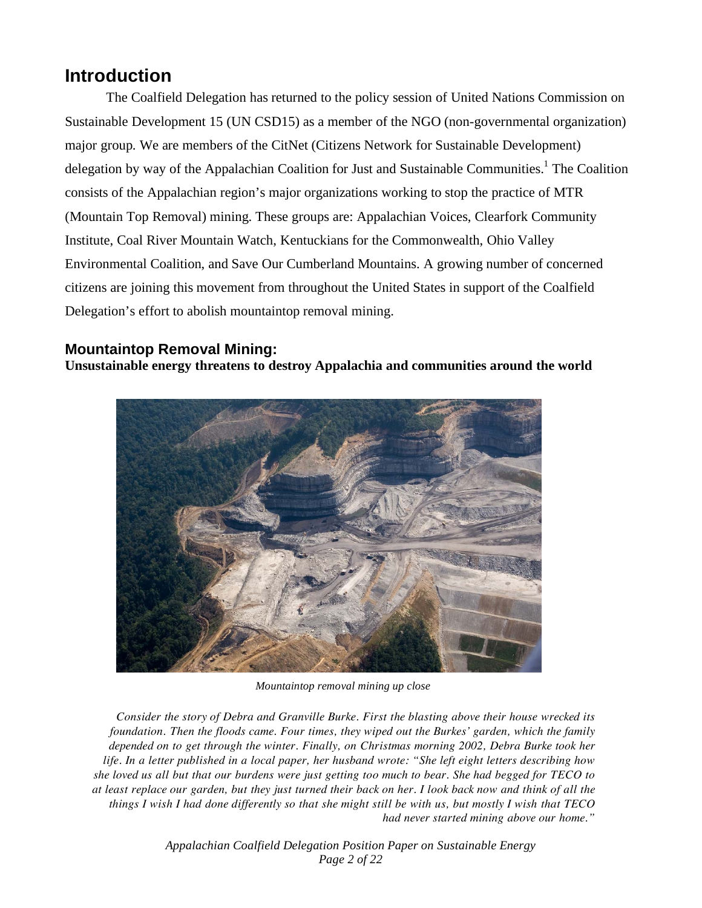### **Introduction**

The Coalfield Delegation has returned to the policy session of United Nations Commission on Sustainable Development 15 (UN CSD15) as a member of the NGO (non-governmental organization) major group. We are members of the CitNet (Citizens Network for Sustainable Development) delegation by way of the Appalachian Coalition for Just and Sustainable Communities.<sup>1</sup> The Coalition consists of the Appalachian region's major organizations working to stop the practice of MTR (Mountain Top Removal) mining. These groups are: Appalachian Voices, Clearfork Community Institute, Coal River Mountain Watch, Kentuckians for the Commonwealth, Ohio Valley Environmental Coalition, and Save Our Cumberland Mountains. A growing number of concerned citizens are joining this movement from throughout the United States in support of the Coalfield Delegation's effort to abolish mountaintop removal mining.

**Mountaintop Removal Mining:**<br>**Unsustainable energy threatens to destroy Appalachia and communities around the world** 



*Mountaintop removal mining up close* 

*Consider the story of Debra and Granville Burke. First the blasting above their house wrecked its foundation. Then the floods came. Four times, they wiped out the Burkes' garden, which the family depended on to get through the winter. Finally, on Christmas morning 2002, Debra Burke took her life. In a letter published in a local paper, her husband wrote: "She left eight letters describing how she loved us all but that our burdens were just getting too much to bear. She had begged for TECO to at least replace our garden, but they just turned their back on her. I look back now and think of all the things I wish I had done differently so that she might still be with us, but mostly I wish that TECO had never started mining above our home."* 

> *Appalachian Coalfield Delegation Position Paper on Sustainable Energy Page 2 of 22*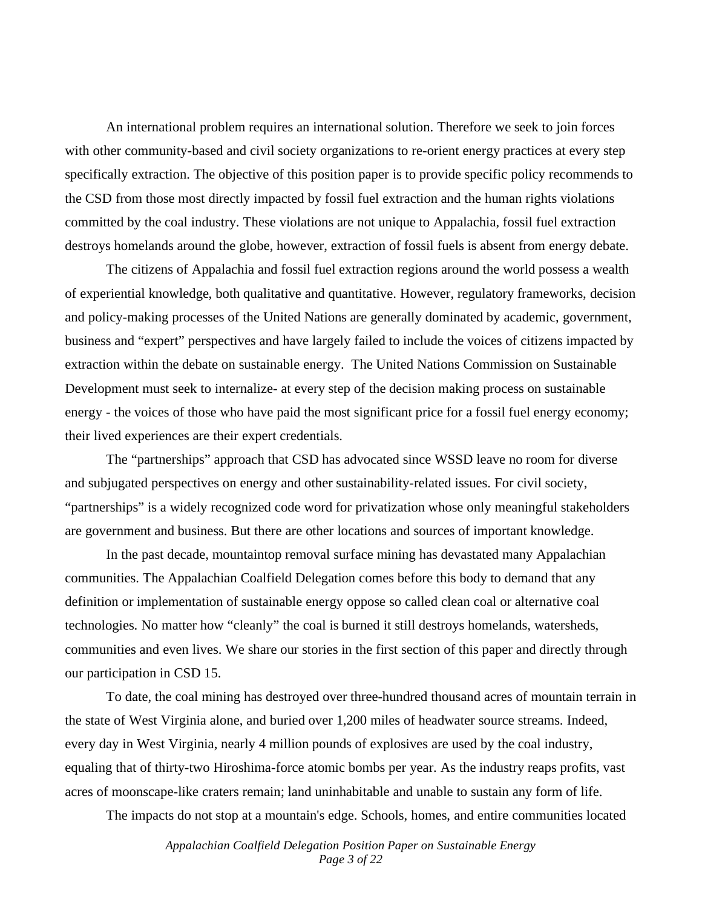An international problem requires an international solution. Therefore we seek to join forces with other community-based and civil society organizations to re-orient energy practices at every step specifically extraction. The objective of this position paper is to provide specific policy recommends to the CSD from those most directly impacted by fossil fuel extraction and the human rights violations committed by the coal industry. These violations are not unique to Appalachia, fossil fuel extraction destroys homelands around the globe, however, extraction of fossil fuels is absent from energy debate.

The citizens of Appalachia and fossil fuel extraction regions around the world possess a wealth of experiential knowledge, both qualitative and quantitative. However, regulatory frameworks, decision and policy-making processes of the United Nations are generally dominated by academic, government, business and "expert" perspectives and have largely failed to include the voices of citizens impacted by extraction within the debate on sustainable energy. The United Nations Commission on Sustainable Development must seek to internalize- at every step of the decision making process on sustainable energy - the voices of those who have paid the most significant price for a fossil fuel energy economy; their lived experiences are their expert credentials.

The "partnerships" approach that CSD has advocated since WSSD leave no room for diverse and subjugated perspectives on energy and other sustainability-related issues. For civil society, "partnerships" is a widely recognized code word for privatization whose only meaningful stakeholders are government and business. But there are other locations and sources of important knowledge.

In the past decade, mountaintop removal surface mining has devastated many Appalachian communities. The Appalachian Coalfield Delegation comes before this body to demand that any definition or implementation of sustainable energy oppose so called clean coal or alternative coal technologies. No matter how "cleanly" the coal is burned it still destroys homelands, watersheds, communities and even lives. We share our stories in the first section of this paper and directly through our participation in CSD 15.

To date, the coal mining has destroyed over three-hundred thousand acres of mountain terrain in the state of West Virginia alone, and buried over 1,200 miles of headwater source streams. Indeed, every day in West Virginia, nearly 4 million pounds of explosives are used by the coal industry, equaling that of thirty-two Hiroshima-force atomic bombs per year. As the industry reaps profits, vast acres of moonscape-like craters remain; land uninhabitable and unable to sustain any form of life.

The impacts do not stop at a mountain's edge. Schools, homes, and entire communities located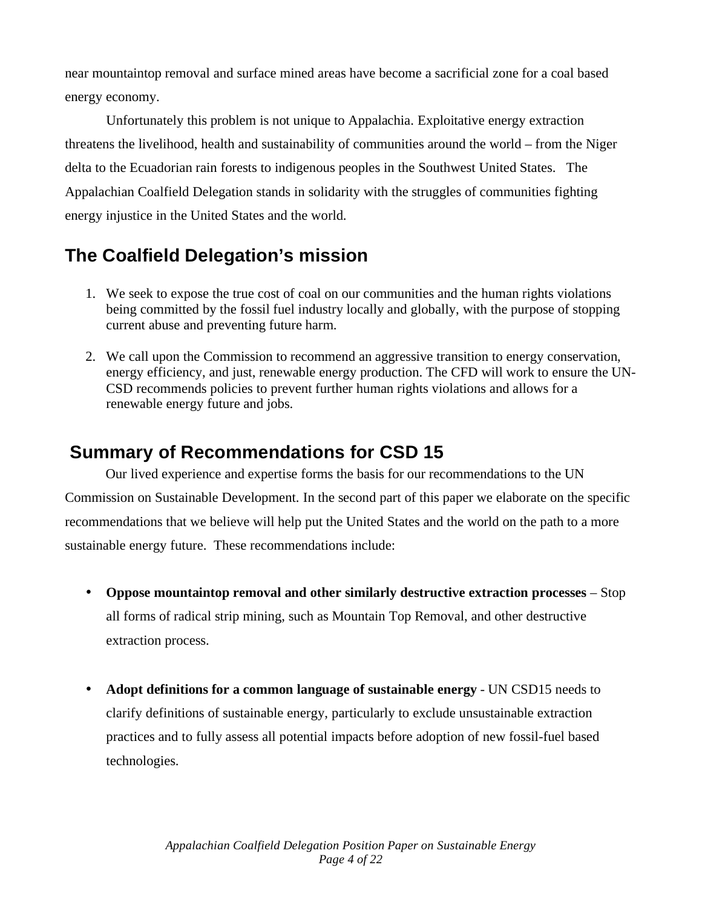near mountaintop removal and surface mined areas have become a sacrificial zone for a coal based energy economy.

Unfortunately this problem is not unique to Appalachia. Exploitative energy extraction threatens the livelihood, health and sustainability of communities around the world – from the Niger delta to the Ecuadorian rain forests to indigenous peoples in the Southwest United States. The Appalachian Coalfield Delegation stands in solidarity with the struggles of communities fighting energy injustice in the United States and the world.

## **The Coalfield Delegation's mission**

- 1. We seek to expose the true cost of coal on our communities and the human rights violations being committed by the fossil fuel industry locally and globally, with the purpose of stopping current abuse and preventing future harm.
- 2. We call upon the Commission to recommend an aggressive transition to energy conservation, energy efficiency, and just, renewable energy production. The CFD will work to ensure the UN-CSD recommends policies to prevent further human rights violations and allows for a renewable energy future and jobs.

### **Summary of Recommendations for CSD 15**

 Our lived experience and expertise forms the basis for our recommendations to the UN Commission on Sustainable Development. In the second part of this paper we elaborate on the specific recommendations that we believe will help put the United States and the world on the path to a more sustainable energy future. These recommendations include:

- **Oppose mountaintop removal and other similarly destructive extraction processes** Stop all forms of radical strip mining, such as Mountain Top Removal, and other destructive extraction process.
- **Adopt definitions for a common language of sustainable energy** UN CSD15 needs to clarify definitions of sustainable energy, particularly to exclude unsustainable extraction practices and to fully assess all potential impacts before adoption of new fossil-fuel based technologies.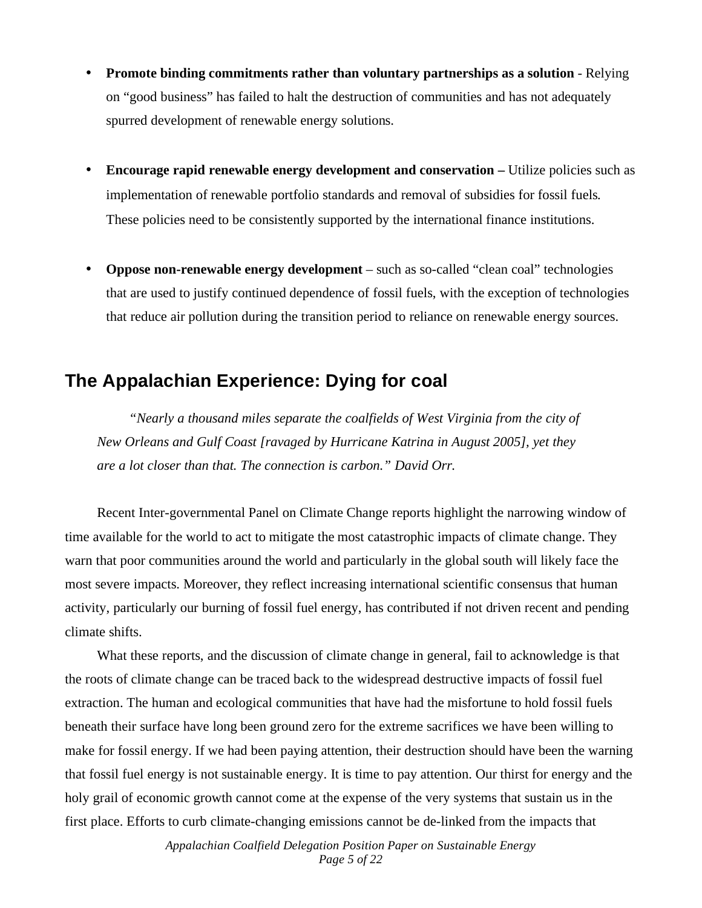- **Promote binding commitments rather than voluntary partnerships as a solution** Relying on "good business" has failed to halt the destruction of communities and has not adequately spurred development of renewable energy solutions.
- **Encourage rapid renewable energy development and conservation Utilize policies such as** implementation of renewable portfolio standards and removal of subsidies for fossil fuels*.*  These policies need to be consistently supported by the international finance institutions.
- **Oppose non-renewable energy development** such as so-called "clean coal" technologies that are used to justify continued dependence of fossil fuels, with the exception of technologies that reduce air pollution during the transition period to reliance on renewable energy sources.

### **The Appalachian Experience: Dying for coal**

 *"Nearly a thousand miles separate the coalfields of West Virginia from the city of New Orleans and Gulf Coast [ravaged by Hurricane Katrina in August 2005], yet they are a lot closer than that. The connection is carbon." David Orr.* 

 Recent Inter-governmental Panel on Climate Change reports highlight the narrowing window of time available for the world to act to mitigate the most catastrophic impacts of climate change. They warn that poor communities around the world and particularly in the global south will likely face the most severe impacts. Moreover, they reflect increasing international scientific consensus that human activity, particularly our burning of fossil fuel energy, has contributed if not driven recent and pending climate shifts.

 What these reports, and the discussion of climate change in general, fail to acknowledge is that the roots of climate change can be traced back to the widespread destructive impacts of fossil fuel extraction. The human and ecological communities that have had the misfortune to hold fossil fuels beneath their surface have long been ground zero for the extreme sacrifices we have been willing to make for fossil energy. If we had been paying attention, their destruction should have been the warning that fossil fuel energy is not sustainable energy. It is time to pay attention. Our thirst for energy and the holy grail of economic growth cannot come at the expense of the very systems that sustain us in the first place. Efforts to curb climate-changing emissions cannot be de-linked from the impacts that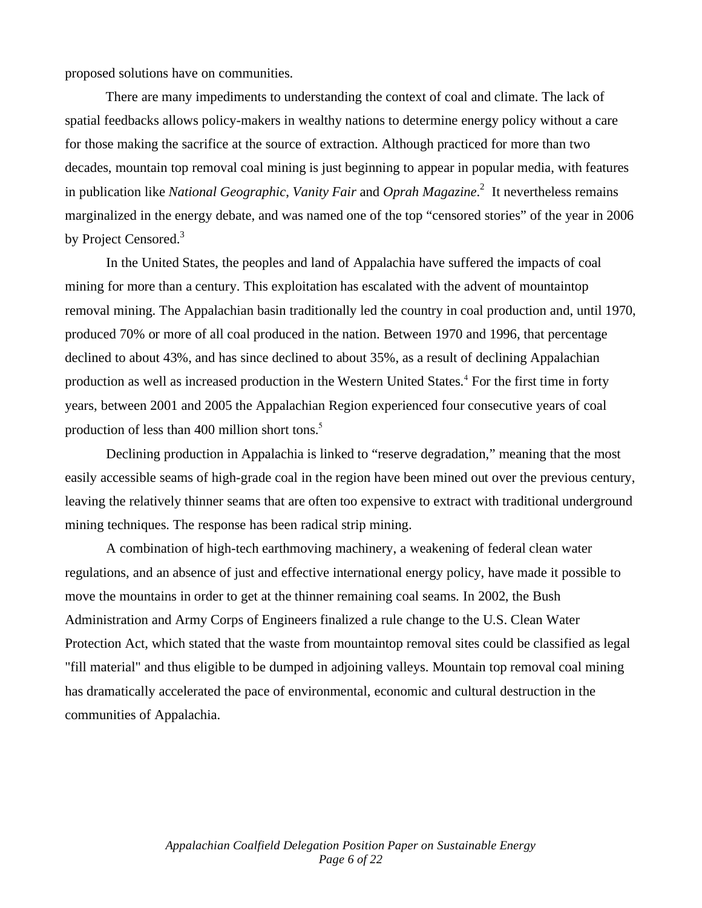proposed solutions have on communities.

 There are many impediments to understanding the context of coal and climate. The lack of spatial feedbacks allows policy-makers in wealthy nations to determine energy policy without a care for those making the sacrifice at the source of extraction. Although practiced for more than two decades, mountain top removal coal mining is just beginning to appear in popular media, with features in publication like *National Geographic*, *Vanity Fair* and *Oprah Magazine*. 2 It nevertheless remains marginalized in the energy debate, and was named one of the top "censored stories" of the year in 2006 by Project Censored.<sup>3</sup>

In the United States, the peoples and land of Appalachia have suffered the impacts of coal mining for more than a century. This exploitation has escalated with the advent of mountaintop removal mining. The Appalachian basin traditionally led the country in coal production and, until 1970, produced 70% or more of all coal produced in the nation. Between 1970 and 1996, that percentage declined to about 43%, and has since declined to about 35%, as a result of declining Appalachian production as well as increased production in the Western United States.<sup>4</sup> For the first time in forty years, between 2001 and 2005 the Appalachian Region experienced four consecutive years of coal production of less than 400 million short tons.<sup>5</sup>

Declining production in Appalachia is linked to "reserve degradation," meaning that the most easily accessible seams of high-grade coal in the region have been mined out over the previous century, leaving the relatively thinner seams that are often too expensive to extract with traditional underground mining techniques. The response has been radical strip mining.

A combination of high-tech earthmoving machinery, a weakening of federal clean water regulations, and an absence of just and effective international energy policy, have made it possible to move the mountains in order to get at the thinner remaining coal seams. In 2002, the Bush Administration and Army Corps of Engineers finalized a rule change to the U.S. Clean Water Protection Act, which stated that the waste from mountaintop removal sites could be classified as legal "fill material" and thus eligible to be dumped in adjoining valleys. Mountain top removal coal mining has dramatically accelerated the pace of environmental, economic and cultural destruction in the communities of Appalachia.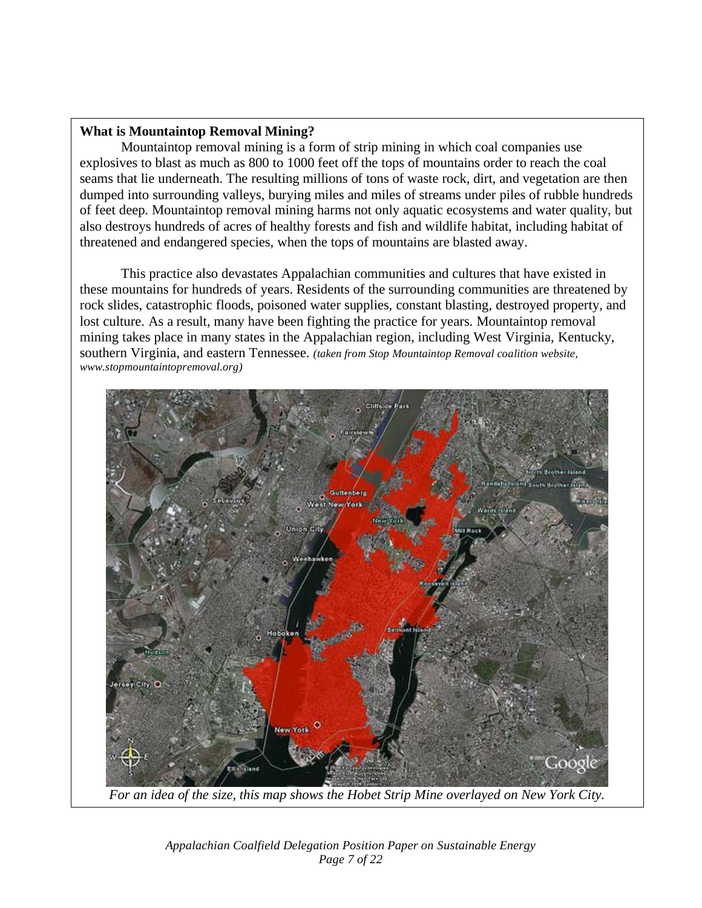#### **What is Mountaintop Removal Mining?**

Mountaintop removal mining is a form of strip mining in which coal companies use explosives to blast as much as 800 to 1000 feet off the tops of mountains order to reach the coal seams that lie underneath. The resulting millions of tons of waste rock, dirt, and vegetation are then dumped into surrounding valleys, burying miles and miles of streams under piles of rubble hundreds of feet deep. Mountaintop removal mining harms not only aquatic ecosystems and water quality, but also destroys hundreds of acres of healthy forests and fish and wildlife habitat, including habitat of threatened and endangered species, when the tops of mountains are blasted away.

This practice also devastates Appalachian communities and cultures that have existed in these mountains for hundreds of years. Residents of the surrounding communities are threatened by rock slides, catastrophic floods, poisoned water supplies, constant blasting, destroyed property, and lost culture. As a result, many have been fighting the practice for years. Mountaintop removal mining takes place in many states in the Appalachian region, including West Virginia, Kentucky, southern Virginia, and eastern Tennessee. *(taken from Stop Mountaintop Removal coalition website, www.stopmountaintopremoval.org)* 



*For an idea of the size, this map shows the Hobet Strip Mine overlayed on New York City.* 

*Appalachian Coalfield Delegation Position Paper on Sustainable Energy Page 7 of 22*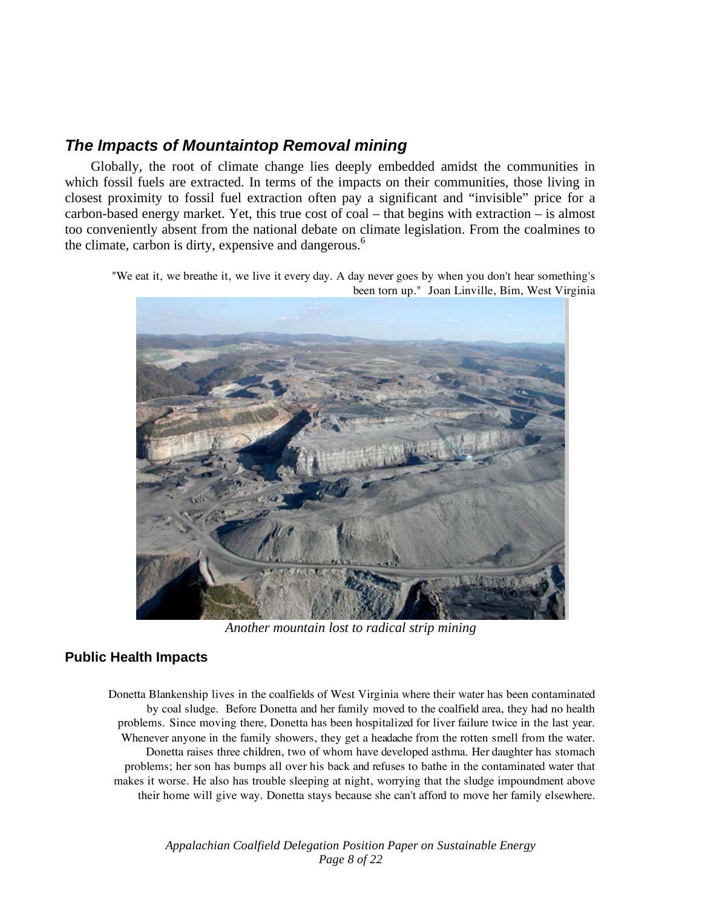### *The Impacts of Mountaintop Removal mining*

 Globally, the root of climate change lies deeply embedded amidst the communities in which fossil fuels are extracted. In terms of the impacts on their communities, those living in closest proximity to fossil fuel extraction often pay a significant and "invisible" price for a carbon-based energy market. Yet, this true cost of coal – that begins with extraction – is almost too conveniently absent from the national debate on climate legislation. From the coalmines to the climate, carbon is dirty, expensive and dangerous. $6\degree$ 

"We eat it, we breathe it, we live it every day. A day never goes by when you don't hear something's been torn up." Joan Linville, Bim, West Virginia



*Another mountain lost to radical strip mining* 

#### **Public Health Impacts**

Donetta Blankenship lives in the coalfields of West Virginia where their water has been contaminated by coal sludge. Before Donetta and her family moved to the coalfield area, they had no health problems. Since moving there, Donetta has been hospitalized for liver failure twice in the last year. Whenever anyone in the family showers, they get a headache from the rotten smell from the water. Donetta raises three children, two of whom have developed asthma. Her daughter has stomach problems; her son has bumps all over his back and refuses to bathe in the contaminated water that makes it worse. He also has trouble sleeping at night, worrying that the sludge impoundment above their home will give way. Donetta stays because she can't afford to move her family elsewhere.

> *Appalachian Coalfield Delegation Position Paper on Sustainable Energy Page 8 of 22*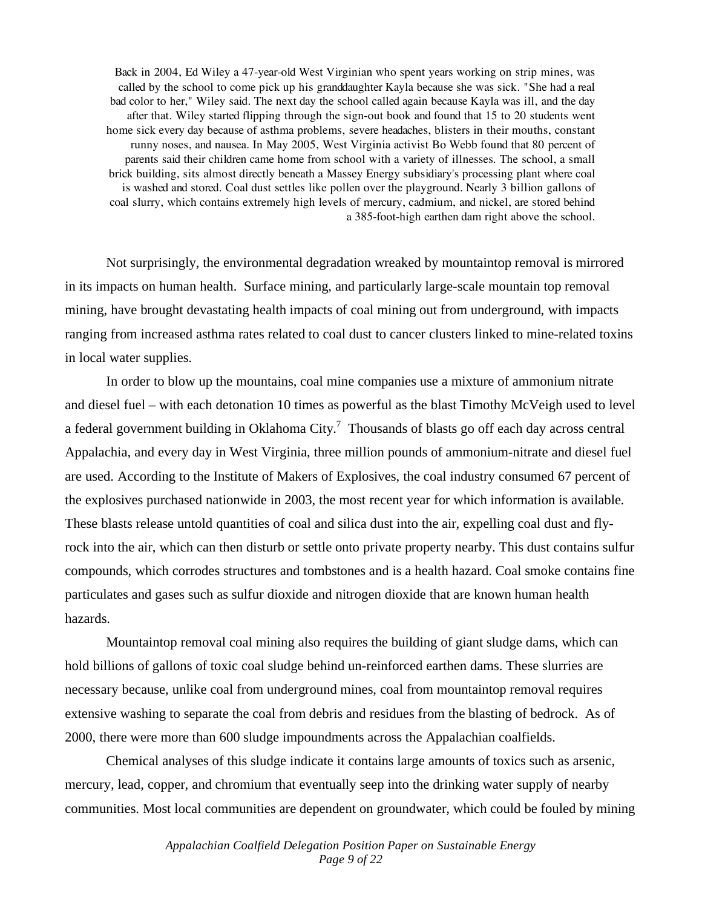Back in 2004, Ed Wiley a 47-year-old West Virginian who spent years working on strip mines, was called by the school to come pick up his granddaughter Kayla because she was sick. "She had a real bad color to her," Wiley said. The next day the school called again because Kayla was ill, and the day after that. Wiley started flipping through the sign-out book and found that 15 to 20 students went home sick every day because of asthma problems, severe headaches, blisters in their mouths, constant runny noses, and nausea. In May 2005, West Virginia activist Bo Webb found that 80 percent of parents said their children came home from school with a variety of illnesses. The school, a small brick building, sits almost directly beneath a Massey Energy subsidiary's processing plant where coal is washed and stored. Coal dust settles like pollen over the playground. Nearly 3 billion gallons of coal slurry, which contains extremely high levels of mercury, cadmium, and nickel, are stored behind a 385-foot-high earthen dam right above the school.

Not surprisingly, the environmental degradation wreaked by mountaintop removal is mirrored in its impacts on human health. Surface mining, and particularly large-scale mountain top removal mining, have brought devastating health impacts of coal mining out from underground, with impacts ranging from increased asthma rates related to coal dust to cancer clusters linked to mine-related toxins in local water supplies.

In order to blow up the mountains, coal mine companies use a mixture of ammonium nitrate and diesel fuel – with each detonation 10 times as powerful as the blast Timothy McVeigh used to level a federal government building in Oklahoma City.<sup>7</sup> Thousands of blasts go off each day across central Appalachia, and every day in West Virginia, three million pounds of ammonium-nitrate and diesel fuel are used. According to the Institute of Makers of Explosives, the coal industry consumed 67 percent of the explosives purchased nationwide in 2003, the most recent year for which information is available. These blasts release untold quantities of coal and silica dust into the air, expelling coal dust and flyrock into the air, which can then disturb or settle onto private property nearby. This dust contains sulfur compounds, which corrodes structures and tombstones and is a health hazard. Coal smoke contains fine particulates and gases such as sulfur dioxide and nitrogen dioxide that are known human health hazards.

Mountaintop removal coal mining also requires the building of giant sludge dams, which can hold billions of gallons of toxic coal sludge behind un-reinforced earthen dams. These slurries are necessary because, unlike coal from underground mines, coal from mountaintop removal requires extensive washing to separate the coal from debris and residues from the blasting of bedrock. As of 2000, there were more than 600 sludge impoundments across the Appalachian coalfields.

Chemical analyses of this sludge indicate it contains large amounts of toxics such as arsenic, mercury, lead, copper, and chromium that eventually seep into the drinking water supply of nearby communities. Most local communities are dependent on groundwater, which could be fouled by mining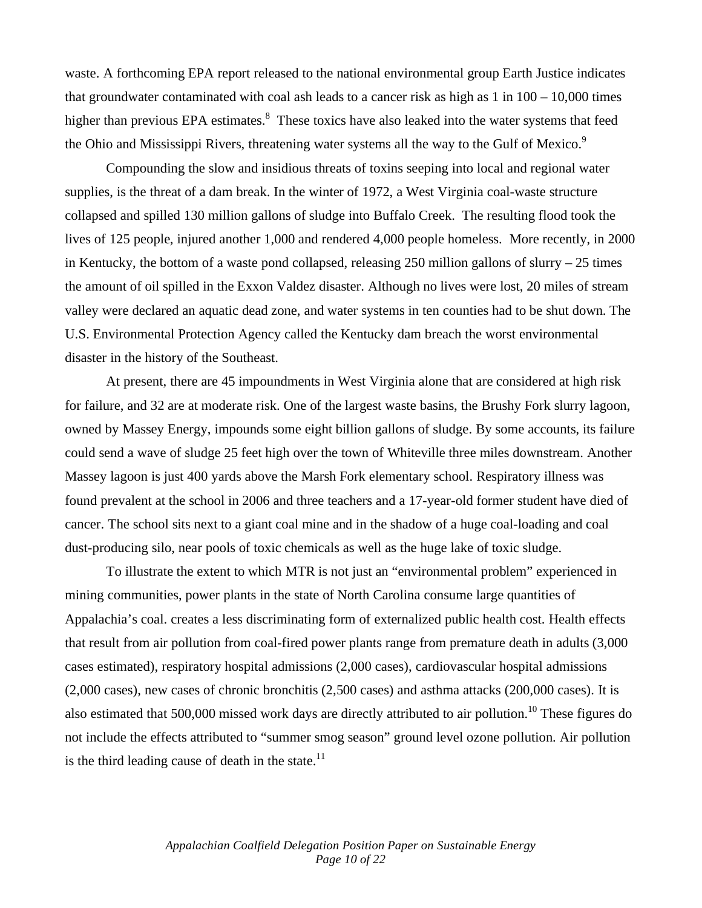waste. A forthcoming EPA report released to the national environmental group Earth Justice indicates that groundwater contaminated with coal ash leads to a cancer risk as high as  $1$  in  $100 - 10,000$  times higher than previous EPA estimates.<sup>8</sup> These toxics have also leaked into the water systems that feed the Ohio and Mississippi Rivers, threatening water systems all the way to the Gulf of Mexico.<sup>9</sup>

Compounding the slow and insidious threats of toxins seeping into local and regional water supplies, is the threat of a dam break. In the winter of 1972, a West Virginia coal-waste structure collapsed and spilled 130 million gallons of sludge into Buffalo Creek. The resulting flood took the lives of 125 people, injured another 1,000 and rendered 4,000 people homeless. More recently, in 2000 in Kentucky, the bottom of a waste pond collapsed, releasing 250 million gallons of slurry  $-25$  times the amount of oil spilled in the Exxon Valdez disaster. Although no lives were lost, 20 miles of stream valley were declared an aquatic dead zone, and water systems in ten counties had to be shut down. The U.S. Environmental Protection Agency called the Kentucky dam breach the worst environmental disaster in the history of the Southeast.

At present, there are 45 impoundments in West Virginia alone that are considered at high risk for failure, and 32 are at moderate risk. One of the largest waste basins, the Brushy Fork slurry lagoon, owned by Massey Energy, impounds some eight billion gallons of sludge. By some accounts, its failure could send a wave of sludge 25 feet high over the town of Whiteville three miles downstream. Another Massey lagoon is just 400 yards above the Marsh Fork elementary school. Respiratory illness was found prevalent at the school in 2006 and three teachers and a 17-year-old former student have died of cancer. The school sits next to a giant coal mine and in the shadow of a huge coal-loading and coal dust-producing silo, near pools of toxic chemicals as well as the huge lake of toxic sludge.

To illustrate the extent to which MTR is not just an "environmental problem" experienced in mining communities, power plants in the state of North Carolina consume large quantities of Appalachia's coal. creates a less discriminating form of externalized public health cost. Health effects that result from air pollution from coal-fired power plants range from premature death in adults (3,000 cases estimated), respiratory hospital admissions (2,000 cases), cardiovascular hospital admissions (2,000 cases), new cases of chronic bronchitis (2,500 cases) and asthma attacks (200,000 cases). It is also estimated that 500,000 missed work days are directly attributed to air pollution.<sup>10</sup> These figures do not include the effects attributed to "summer smog season" ground level ozone pollution. Air pollution is the third leading cause of death in the state.<sup>11</sup>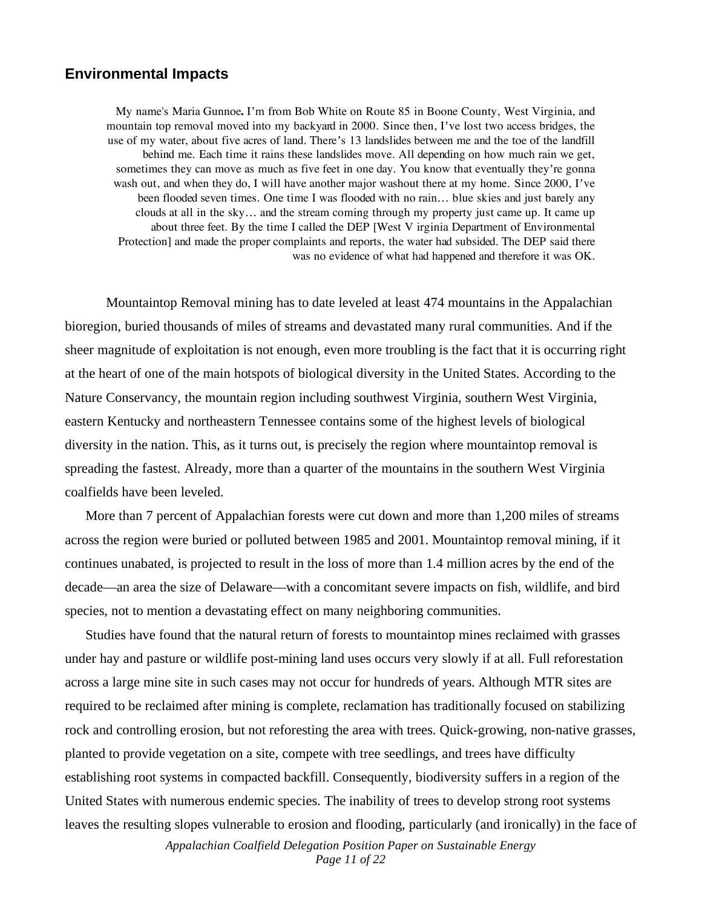#### **Environmental Impacts**

My name's Maria Gunnoe**.** I'm from Bob White on Route 85 in Boone County, West Virginia, and mountain top removal moved into my backyard in 2000. Since then, I've lost two access bridges, the use of my water, about five acres of land. There's 13 landslides between me and the toe of the landfill behind me. Each time it rains these landslides move. All depending on how much rain we get, sometimes they can move as much as five feet in one day. You know that eventually they're gonna wash out, and when they do, I will have another major washout there at my home. Since 2000, I've been flooded seven times. One time I was flooded with no rain… blue skies and just barely any clouds at all in the sky… and the stream coming through my property just came up. It came up about three feet. By the time I called the DEP [West V irginia Department of Environmental Protection] and made the proper complaints and reports, the water had subsided. The DEP said there was no evidence of what had happened and therefore it was OK.

Mountaintop Removal mining has to date leveled at least 474 mountains in the Appalachian bioregion, buried thousands of miles of streams and devastated many rural communities. And if the sheer magnitude of exploitation is not enough, even more troubling is the fact that it is occurring right at the heart of one of the main hotspots of biological diversity in the United States. According to the Nature Conservancy, the mountain region including southwest Virginia, southern West Virginia, eastern Kentucky and northeastern Tennessee contains some of the highest levels of biological diversity in the nation. This, as it turns out, is precisely the region where mountaintop removal is spreading the fastest. Already, more than a quarter of the mountains in the southern West Virginia coalfields have been leveled.

More than 7 percent of Appalachian forests were cut down and more than 1,200 miles of streams across the region were buried or polluted between 1985 and 2001. Mountaintop removal mining, if it continues unabated, is projected to result in the loss of more than 1.4 million acres by the end of the decade—an area the size of Delaware—with a concomitant severe impacts on fish, wildlife, and bird species, not to mention a devastating effect on many neighboring communities.

Studies have found that the natural return of forests to mountaintop mines reclaimed with grasses under hay and pasture or wildlife post-mining land uses occurs very slowly if at all. Full reforestation across a large mine site in such cases may not occur for hundreds of years. Although MTR sites are required to be reclaimed after mining is complete, reclamation has traditionally focused on stabilizing rock and controlling erosion, but not reforesting the area with trees. Quick-growing, non-native grasses, planted to provide vegetation on a site, compete with tree seedlings, and trees have difficulty establishing root systems in compacted backfill. Consequently, biodiversity suffers in a region of the United States with numerous endemic species. The inability of trees to develop strong root systems leaves the resulting slopes vulnerable to erosion and flooding, particularly (and ironically) in the face of

> *Appalachian Coalfield Delegation Position Paper on Sustainable Energy Page 11 of 22*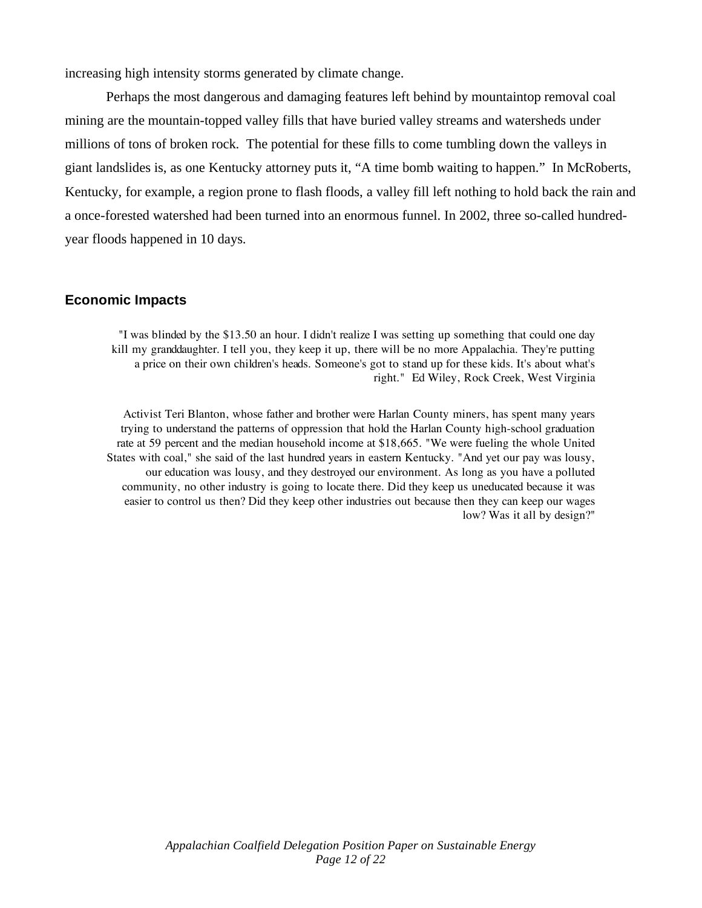increasing high intensity storms generated by climate change.

Perhaps the most dangerous and damaging features left behind by mountaintop removal coal mining are the mountain-topped valley fills that have buried valley streams and watersheds under millions of tons of broken rock. The potential for these fills to come tumbling down the valleys in giant landslides is, as one Kentucky attorney puts it, "A time bomb waiting to happen." In McRoberts, Kentucky, for example, a region prone to flash floods, a valley fill left nothing to hold back the rain and a once-forested watershed had been turned into an enormous funnel. In 2002, three so-called hundredyear floods happened in 10 days.

#### **Economic Impacts**

"I was blinded by the \$13.50 an hour. I didn't realize I was setting up something that could one day kill my granddaughter. I tell you, they keep it up, there will be no more Appalachia. They're putting a price on their own children's heads. Someone's got to stand up for these kids. It's about what's right." Ed Wiley, Rock Creek, West Virginia

Activist Teri Blanton, whose father and brother were Harlan County miners, has spent many years trying to understand the patterns of oppression that hold the Harlan County high-school graduation rate at 59 percent and the median household income at \$18,665. "We were fueling the whole United States with coal," she said of the last hundred years in eastern Kentucky. "And yet our pay was lousy, our education was lousy, and they destroyed our environment. As long as you have a polluted community, no other industry is going to locate there. Did they keep us uneducated because it was easier to control us then? Did they keep other industries out because then they can keep our wages low? Was it all by design?"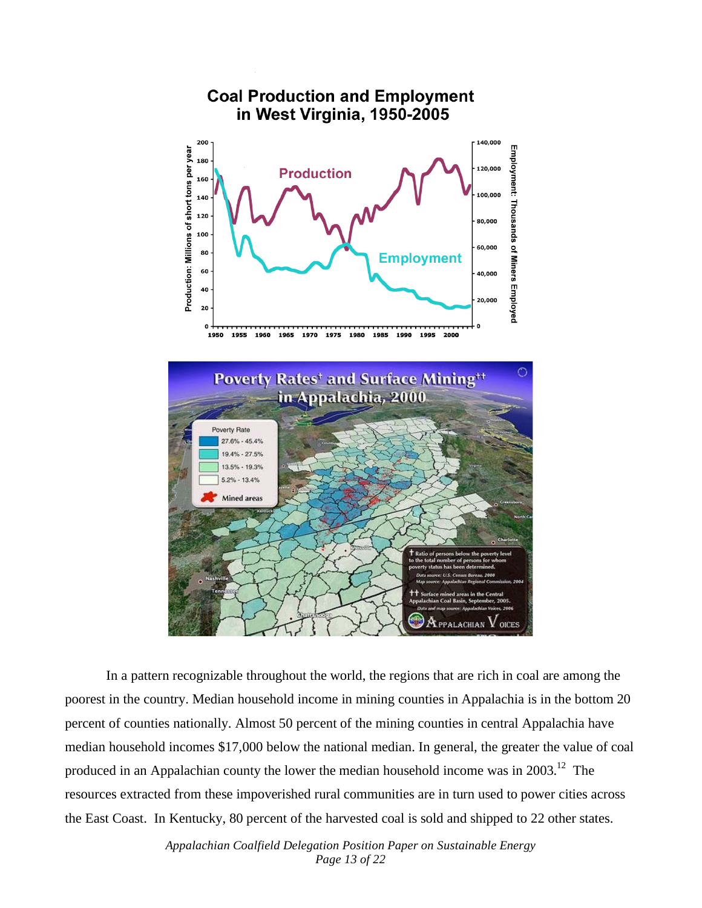

In a pattern recognizable throughout the world, the regions that are rich in coal are among the poorest in the country. Median household income in mining counties in Appalachia is in the bottom 20 percent of counties nationally. Almost 50 percent of the mining counties in central Appalachia have median household incomes \$17,000 below the national median. In general, the greater the value of coal produced in an Appalachian county the lower the median household income was in 2003.<sup>12</sup> The resources extracted from these impoverished rural communities are in turn used to power cities across the East Coast. In Kentucky, 80 percent of the harvested coal is sold and shipped to 22 other states.

> *Appalachian Coalfield Delegation Position Paper on Sustainable Energy Page 13 of 22*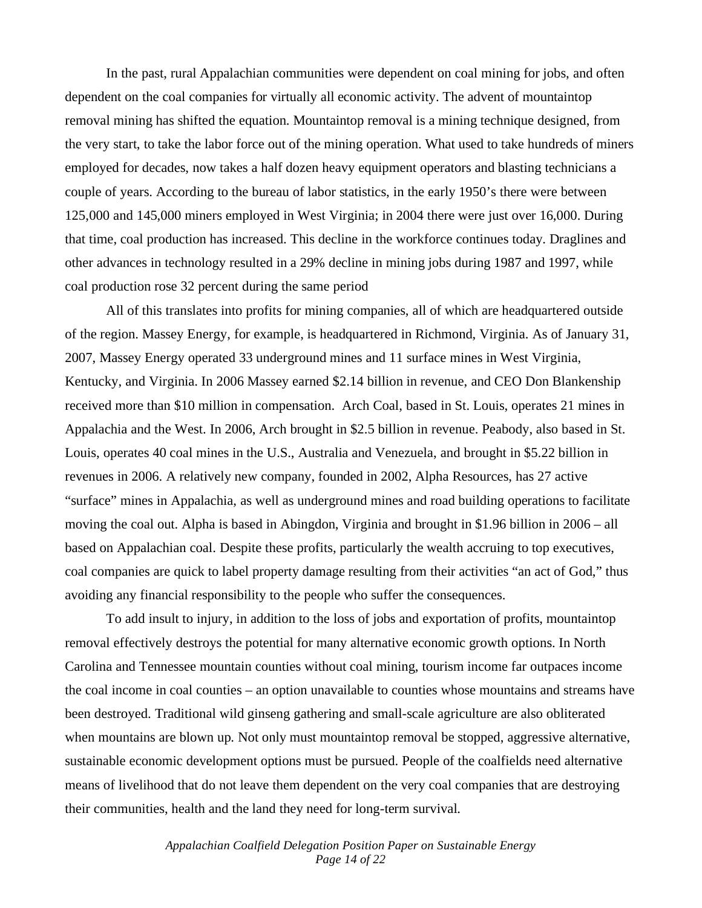In the past, rural Appalachian communities were dependent on coal mining for jobs, and often dependent on the coal companies for virtually all economic activity. The advent of mountaintop removal mining has shifted the equation. Mountaintop removal is a mining technique designed, from the very start, to take the labor force out of the mining operation. What used to take hundreds of miners employed for decades, now takes a half dozen heavy equipment operators and blasting technicians a couple of years. According to the bureau of labor statistics, in the early 1950's there were between 125,000 and 145,000 miners employed in West Virginia; in 2004 there were just over 16,000. During that time, coal production has increased. This decline in the workforce continues today. Draglines and other advances in technology resulted in a 29% decline in mining jobs during 1987 and 1997, while coal production rose 32 percent during the same period

All of this translates into profits for mining companies, all of which are headquartered outside of the region. Massey Energy, for example, is headquartered in Richmond, Virginia. As of January 31, 2007, Massey Energy operated 33 underground mines and 11 surface mines in West Virginia, Kentucky, and Virginia. In 2006 Massey earned \$2.14 billion in revenue, and CEO Don Blankenship received more than \$10 million in compensation. Arch Coal, based in St. Louis, operates 21 mines in Appalachia and the West. In 2006, Arch brought in \$2.5 billion in revenue. Peabody, also based in St. Louis, operates 40 coal mines in the U.S., Australia and Venezuela, and brought in \$5.22 billion in revenues in 2006. A relatively new company, founded in 2002, Alpha Resources, has 27 active "surface" mines in Appalachia, as well as underground mines and road building operations to facilitate moving the coal out. Alpha is based in Abingdon, Virginia and brought in \$1.96 billion in 2006 – all based on Appalachian coal. Despite these profits, particularly the wealth accruing to top executives, coal companies are quick to label property damage resulting from their activities "an act of God," thus avoiding any financial responsibility to the people who suffer the consequences.

To add insult to injury, in addition to the loss of jobs and exportation of profits, mountaintop removal effectively destroys the potential for many alternative economic growth options. In North Carolina and Tennessee mountain counties without coal mining, tourism income far outpaces income the coal income in coal counties – an option unavailable to counties whose mountains and streams have been destroyed. Traditional wild ginseng gathering and small-scale agriculture are also obliterated when mountains are blown up. Not only must mountaintop removal be stopped, aggressive alternative, sustainable economic development options must be pursued. People of the coalfields need alternative means of livelihood that do not leave them dependent on the very coal companies that are destroying their communities, health and the land they need for long-term survival.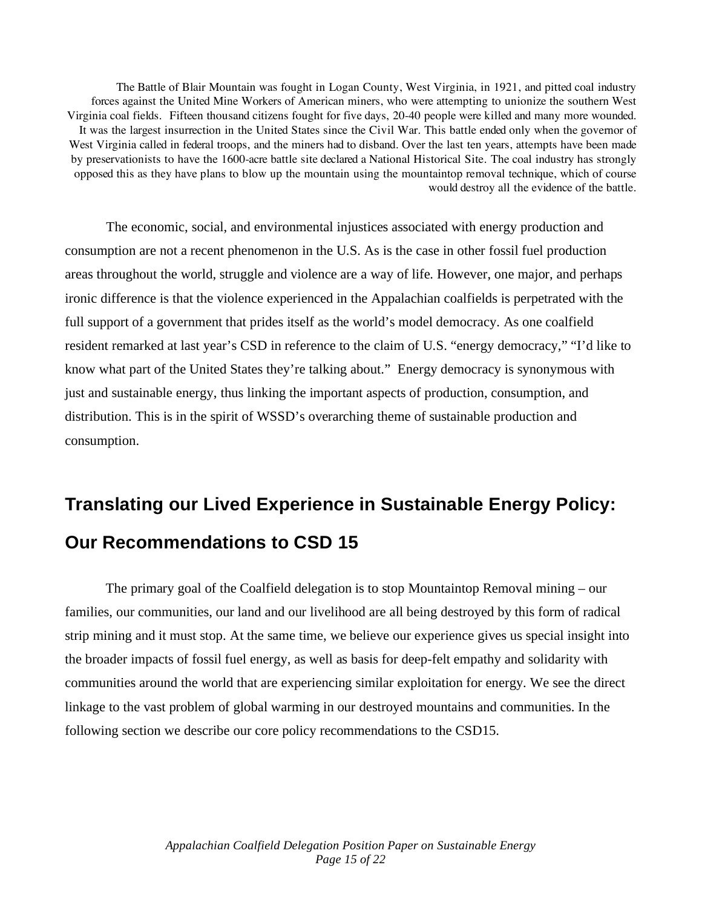The Battle of Blair Mountain was fought in Logan County, West Virginia, in 1921, and pitted coal industry forces against the United Mine Workers of American miners, who were attempting to unionize the southern West Virginia coal fields. Fifteen thousand citizens fought for five days, 20-40 people were killed and many more wounded. It was the largest insurrection in the United States since the Civil War. This battle ended only when the governor of West Virginia called in federal troops, and the miners had to disband. Over the last ten years, attempts have been made by preservationists to have the 1600-acre battle site declared a National Historical Site. The coal industry has strongly opposed this as they have plans to blow up the mountain using the mountaintop removal technique, which of course would destroy all the evidence of the battle.

The economic, social, and environmental injustices associated with energy production and consumption are not a recent phenomenon in the U.S. As is the case in other fossil fuel production areas throughout the world, struggle and violence are a way of life. However, one major, and perhaps ironic difference is that the violence experienced in the Appalachian coalfields is perpetrated with the full support of a government that prides itself as the world's model democracy. As one coalfield resident remarked at last year's CSD in reference to the claim of U.S. "energy democracy," "I'd like to know what part of the United States they're talking about." Energy democracy is synonymous with just and sustainable energy, thus linking the important aspects of production, consumption, and distribution. This is in the spirit of WSSD's overarching theme of sustainable production and consumption.

# **Translating our Lived Experience in Sustainable Energy Policy: Our Recommendations to CSD 15**

The primary goal of the Coalfield delegation is to stop Mountaintop Removal mining – our families, our communities, our land and our livelihood are all being destroyed by this form of radical strip mining and it must stop. At the same time, we believe our experience gives us special insight into the broader impacts of fossil fuel energy, as well as basis for deep-felt empathy and solidarity with communities around the world that are experiencing similar exploitation for energy. We see the direct linkage to the vast problem of global warming in our destroyed mountains and communities. In the following section we describe our core policy recommendations to the CSD15.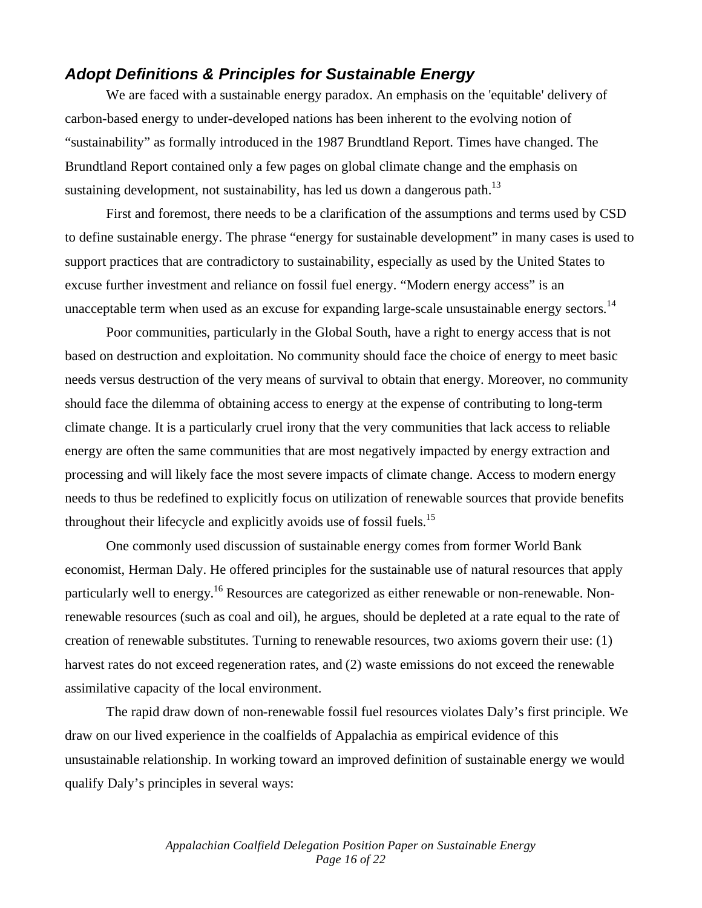#### *Adopt Definitions & Principles for Sustainable Energy*

We are faced with a sustainable energy paradox. An emphasis on the 'equitable' delivery of carbon-based energy to under-developed nations has been inherent to the evolving notion of "sustainability" as formally introduced in the 1987 Brundtland Report. Times have changed. The Brundtland Report contained only a few pages on global climate change and the emphasis on sustaining development, not sustainability, has led us down a dangerous path.<sup>13</sup>

First and foremost, there needs to be a clarification of the assumptions and terms used by CSD to define sustainable energy. The phrase "energy for sustainable development" in many cases is used to support practices that are contradictory to sustainability, especially as used by the United States to excuse further investment and reliance on fossil fuel energy. "Modern energy access" is an unacceptable term when used as an excuse for expanding large-scale unsustainable energy sectors.<sup>14</sup>

Poor communities, particularly in the Global South, have a right to energy access that is not based on destruction and exploitation. No community should face the choice of energy to meet basic needs versus destruction of the very means of survival to obtain that energy. Moreover, no community should face the dilemma of obtaining access to energy at the expense of contributing to long-term climate change. It is a particularly cruel irony that the very communities that lack access to reliable energy are often the same communities that are most negatively impacted by energy extraction and processing and will likely face the most severe impacts of climate change. Access to modern energy needs to thus be redefined to explicitly focus on utilization of renewable sources that provide benefits throughout their lifecycle and explicitly avoids use of fossil fuels.<sup>15</sup>

One commonly used discussion of sustainable energy comes from former World Bank economist, Herman Daly. He offered principles for the sustainable use of natural resources that apply particularly well to energy.<sup>16</sup> Resources are categorized as either renewable or non-renewable. Nonrenewable resources (such as coal and oil), he argues, should be depleted at a rate equal to the rate of creation of renewable substitutes. Turning to renewable resources, two axioms govern their use: (1) harvest rates do not exceed regeneration rates, and (2) waste emissions do not exceed the renewable assimilative capacity of the local environment.

The rapid draw down of non-renewable fossil fuel resources violates Daly's first principle. We draw on our lived experience in the coalfields of Appalachia as empirical evidence of this unsustainable relationship. In working toward an improved definition of sustainable energy we would qualify Daly's principles in several ways: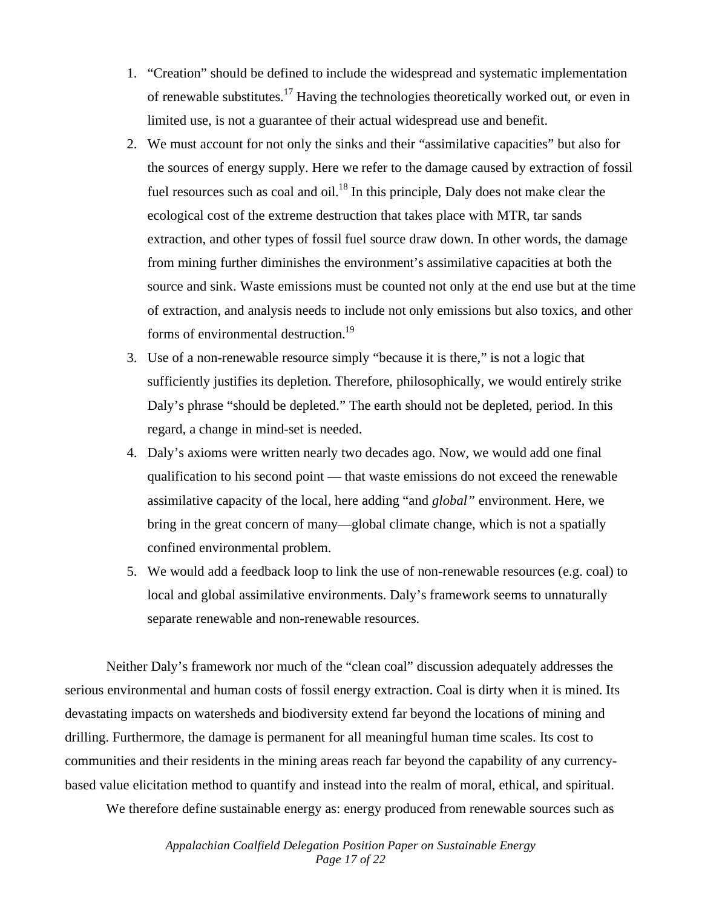- 1. "Creation" should be defined to include the widespread and systematic implementation of renewable substitutes.17 Having the technologies theoretically worked out, or even in limited use, is not a guarantee of their actual widespread use and benefit.
- 2. We must account for not only the sinks and their "assimilative capacities" but also for the sources of energy supply. Here we refer to the damage caused by extraction of fossil fuel resources such as coal and oil. $^{18}$  In this principle, Daly does not make clear the ecological cost of the extreme destruction that takes place with MTR, tar sands extraction, and other types of fossil fuel source draw down. In other words, the damage from mining further diminishes the environment's assimilative capacities at both the source and sink. Waste emissions must be counted not only at the end use but at the time of extraction, and analysis needs to include not only emissions but also toxics, and other forms of environmental destruction.<sup>19</sup>
- 3. Use of a non-renewable resource simply "because it is there," is not a logic that sufficiently justifies its depletion. Therefore, philosophically, we would entirely strike Daly's phrase "should be depleted." The earth should not be depleted, period. In this regard, a change in mind-set is needed.
- 4. Daly's axioms were written nearly two decades ago. Now, we would add one final qualification to his second point — that waste emissions do not exceed the renewable assimilative capacity of the local, here adding "and *global"* environment. Here, we bring in the great concern of many—global climate change, which is not a spatially confined environmental problem.
- 5. We would add a feedback loop to link the use of non-renewable resources (e.g. coal) to local and global assimilative environments. Daly's framework seems to unnaturally separate renewable and non-renewable resources.

Neither Daly's framework nor much of the "clean coal" discussion adequately addresses the serious environmental and human costs of fossil energy extraction. Coal is dirty when it is mined. Its devastating impacts on watersheds and biodiversity extend far beyond the locations of mining and drilling. Furthermore, the damage is permanent for all meaningful human time scales. Its cost to communities and their residents in the mining areas reach far beyond the capability of any currencybased value elicitation method to quantify and instead into the realm of moral, ethical, and spiritual.

We therefore define sustainable energy as: energy produced from renewable sources such as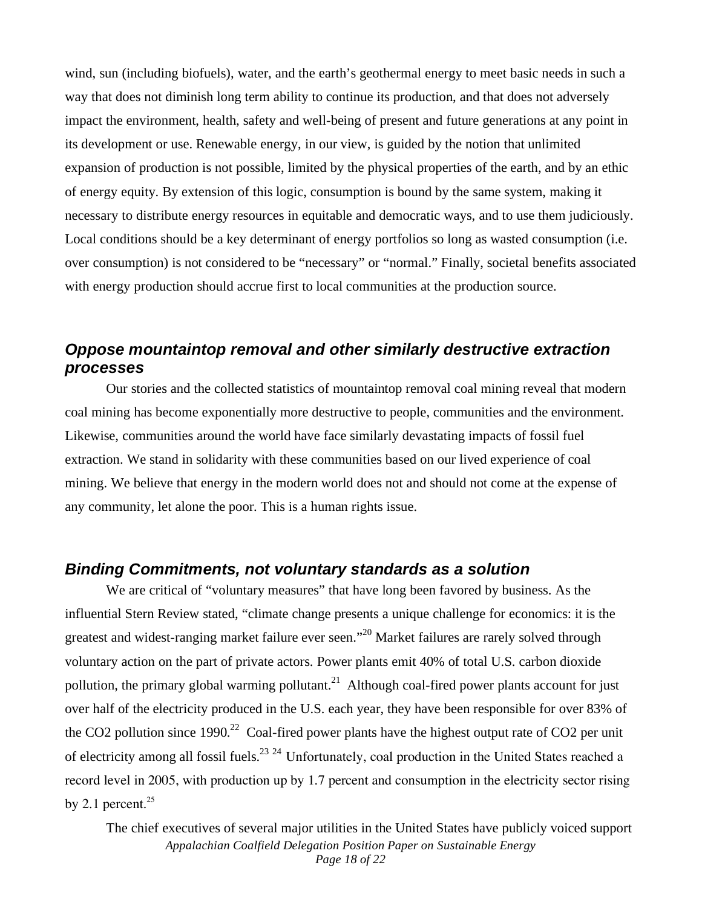wind, sun (including biofuels), water, and the earth's geothermal energy to meet basic needs in such a way that does not diminish long term ability to continue its production, and that does not adversely impact the environment, health, safety and well-being of present and future generations at any point in its development or use. Renewable energy, in our view, is guided by the notion that unlimited expansion of production is not possible, limited by the physical properties of the earth, and by an ethic of energy equity. By extension of this logic, consumption is bound by the same system, making it necessary to distribute energy resources in equitable and democratic ways, and to use them judiciously. Local conditions should be a key determinant of energy portfolios so long as wasted consumption (i.e. over consumption) is not considered to be "necessary" or "normal." Finally, societal benefits associated with energy production should accrue first to local communities at the production source.

### *Oppose mountaintop removal and other similarly destructive extraction processes*

Our stories and the collected statistics of mountaintop removal coal mining reveal that modern coal mining has become exponentially more destructive to people, communities and the environment. Likewise, communities around the world have face similarly devastating impacts of fossil fuel extraction. We stand in solidarity with these communities based on our lived experience of coal mining. We believe that energy in the modern world does not and should not come at the expense of any community, let alone the poor. This is a human rights issue.

#### *Binding Commitments, not voluntary standards as a solution*

We are critical of "voluntary measures" that have long been favored by business. As the influential Stern Review stated, "climate change presents a unique challenge for economics: it is the greatest and widest-ranging market failure ever seen."<sup>20</sup> Market failures are rarely solved through voluntary action on the part of private actors. Power plants emit 40% of total U.S. carbon dioxide pollution, the primary global warming pollutant.<sup>21</sup> Although coal-fired power plants account for just over half of the electricity produced in the U.S. each year, they have been responsible for over 83% of the CO2 pollution since  $1990<sup>22</sup>$  Coal-fired power plants have the highest output rate of CO2 per unit of electricity among all fossil fuels.<sup>23 24</sup> Unfortunately, coal production in the United States reached a record level in 2005, with production up by 1.7 percent and consumption in the electricity sector rising by 2.1 percent. $25$ 

*Appalachian Coalfield Delegation Position Paper on Sustainable Energy Page 18 of 22*  The chief executives of several major utilities in the United States have publicly voiced support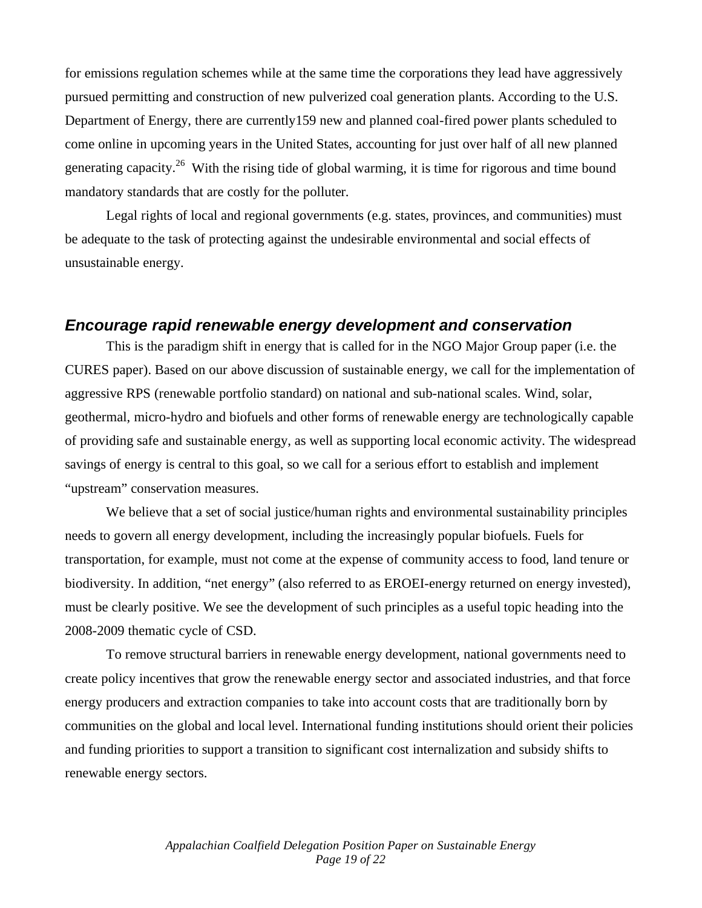for emissions regulation schemes while at the same time the corporations they lead have aggressively pursued permitting and construction of new pulverized coal generation plants. According to the U.S. Department of Energy, there are currently159 new and planned coal-fired power plants scheduled to come online in upcoming years in the United States, accounting for just over half of all new planned generating capacity.<sup>26</sup> With the rising tide of global warming, it is time for rigorous and time bound mandatory standards that are costly for the polluter.

Legal rights of local and regional governments (e.g. states, provinces, and communities) must be adequate to the task of protecting against the undesirable environmental and social effects of unsustainable energy.

### *Encourage rapid renewable energy development and conservation*

This is the paradigm shift in energy that is called for in the NGO Major Group paper (i.e. the CURES paper). Based on our above discussion of sustainable energy, we call for the implementation of aggressive RPS (renewable portfolio standard) on national and sub-national scales. Wind, solar, geothermal, micro-hydro and biofuels and other forms of renewable energy are technologically capable of providing safe and sustainable energy, as well as supporting local economic activity. The widespread savings of energy is central to this goal, so we call for a serious effort to establish and implement "upstream" conservation measures.

We believe that a set of social justice/human rights and environmental sustainability principles needs to govern all energy development, including the increasingly popular biofuels. Fuels for transportation, for example, must not come at the expense of community access to food, land tenure or biodiversity. In addition, "net energy" (also referred to as EROEI-energy returned on energy invested), must be clearly positive. We see the development of such principles as a useful topic heading into the 2008-2009 thematic cycle of CSD.

To remove structural barriers in renewable energy development, national governments need to create policy incentives that grow the renewable energy sector and associated industries, and that force energy producers and extraction companies to take into account costs that are traditionally born by communities on the global and local level. International funding institutions should orient their policies and funding priorities to support a transition to significant cost internalization and subsidy shifts to renewable energy sectors.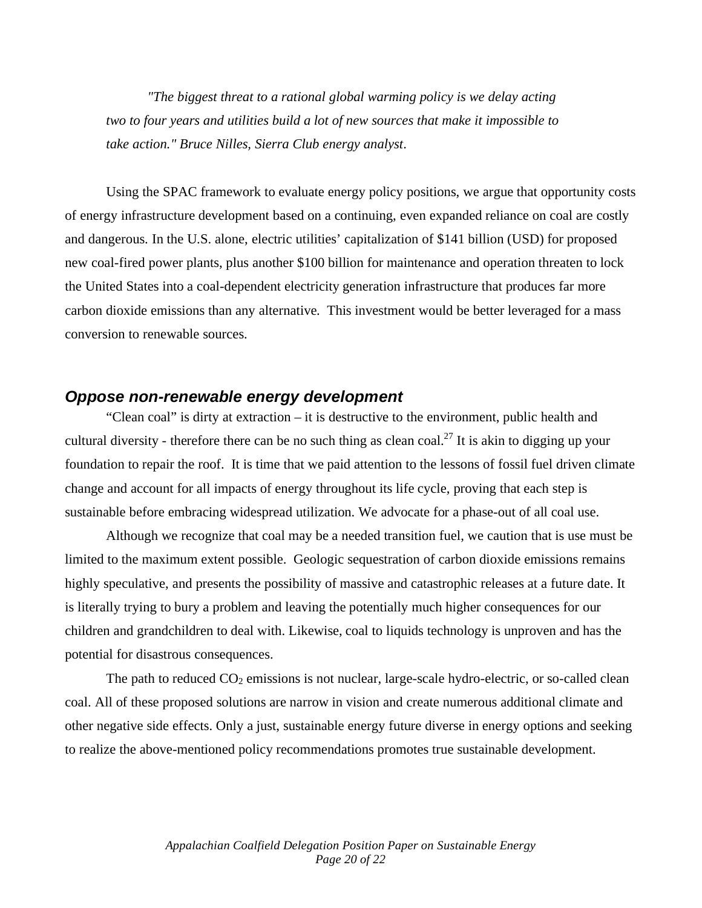*"The biggest threat to a rational global warming policy is we delay acting two to four years and utilities build a lot of new sources that make it impossible to take action." Bruce Nilles, Sierra Club energy analyst*.

Using the SPAC framework to evaluate energy policy positions, we argue that opportunity costs of energy infrastructure development based on a continuing, even expanded reliance on coal are costly and dangerous. In the U.S. alone, electric utilities' capitalization of \$141 billion (USD) for proposed new coal-fired power plants, plus another \$100 billion for maintenance and operation threaten to lock the United States into a coal-dependent electricity generation infrastructure that produces far more carbon dioxide emissions than any alternative. This investment would be better leveraged for a mass conversion to renewable sources.

#### *Oppose non-renewable energy development*

"Clean coal" is dirty at extraction – it is destructive to the environment, public health and cultural diversity - therefore there can be no such thing as clean coal.<sup>27</sup> It is akin to digging up your foundation to repair the roof. It is time that we paid attention to the lessons of fossil fuel driven climate change and account for all impacts of energy throughout its life cycle, proving that each step is sustainable before embracing widespread utilization. We advocate for a phase-out of all coal use.

Although we recognize that coal may be a needed transition fuel, we caution that is use must be limited to the maximum extent possible. Geologic sequestration of carbon dioxide emissions remains highly speculative, and presents the possibility of massive and catastrophic releases at a future date. It is literally trying to bury a problem and leaving the potentially much higher consequences for our children and grandchildren to deal with. Likewise, coal to liquids technology is unproven and has the potential for disastrous consequences.

The path to reduced  $CO_2$  emissions is not nuclear, large-scale hydro-electric, or so-called clean coal. All of these proposed solutions are narrow in vision and create numerous additional climate and other negative side effects. Only a just, sustainable energy future diverse in energy options and seeking to realize the above-mentioned policy recommendations promotes true sustainable development.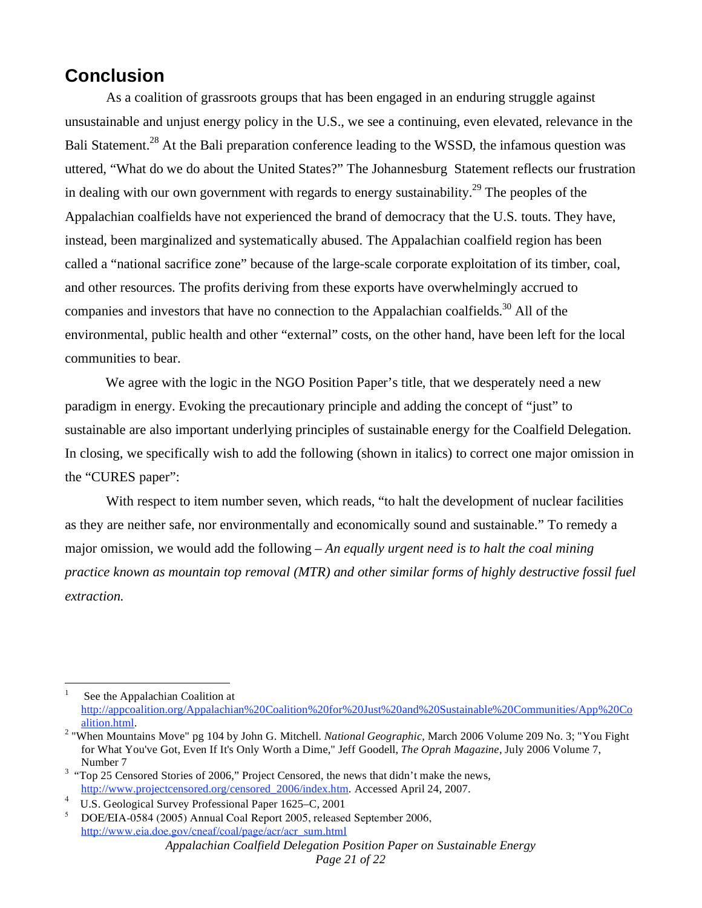### **Conclusion**

As a coalition of grassroots groups that has been engaged in an enduring struggle against unsustainable and unjust energy policy in the U.S., we see a continuing, even elevated, relevance in the Bali Statement.<sup>28</sup> At the Bali preparation conference leading to the WSSD, the infamous question was uttered, "What do we do about the United States?" The Johannesburg Statement reflects our frustration in dealing with our own government with regards to energy sustainability.<sup>29</sup> The peoples of the Appalachian coalfields have not experienced the brand of democracy that the U.S. touts. They have, instead, been marginalized and systematically abused. The Appalachian coalfield region has been called a "national sacrifice zone" because of the large-scale corporate exploitation of its timber, coal, and other resources. The profits deriving from these exports have overwhelmingly accrued to companies and investors that have no connection to the Appalachian coalfields.<sup>30</sup> All of the environmental, public health and other "external" costs, on the other hand, have been left for the local communities to bear.

 We agree with the logic in the NGO Position Paper's title, that we desperately need a new paradigm in energy. Evoking the precautionary principle and adding the concept of "just" to sustainable are also important underlying principles of sustainable energy for the Coalfield Delegation. In closing, we specifically wish to add the following (shown in italics) to correct one major omission in the "CURES paper":

With respect to item number seven, which reads, "to halt the development of nuclear facilities as they are neither safe, nor environmentally and economically sound and sustainable." To remedy a major omission, we would add the following – *An equally urgent need is to halt the coal mining practice known as mountain top removal (MTR) and other similar forms of highly destructive fossil fuel extraction.*

 $\overline{a}$ 

<sup>1</sup> See the Appalachian Coalition at http://appcoalition.org/Appalachian%20Coalition%20for%20Just%20and%20Sustainable%20Communities/App%20Co alition.html. 2 "When Mountains Move" pg 104 by John G. Mitchell. *National Geographic*, March 2006 Volume 209 No. 3; "You Fight

for What You've Got, Even If It's Only Worth a Dime," Jeff Goodell, *The Oprah Magazine,* July 2006 Volume 7, Number 7<br><sup>3</sup> "Top 25 Censored Stories of 2006," Project Censored, the news that didn't make the news,

http://www.projectcensored.org/censored\_2006/index.htm. Accessed April 24, 2007.

<sup>4</sup> U.S. Geological Survey Professional Paper 1625–C, 2001

*Appalachian Coalfield Delegation Position Paper on Sustainable Energy*  <sup>5</sup> DOE/EIA-0584 (2005) Annual Coal Report 2005, released September 2006, http://www.eia.doe.gov/cneaf/coal/page/acr/acr\_sum.html